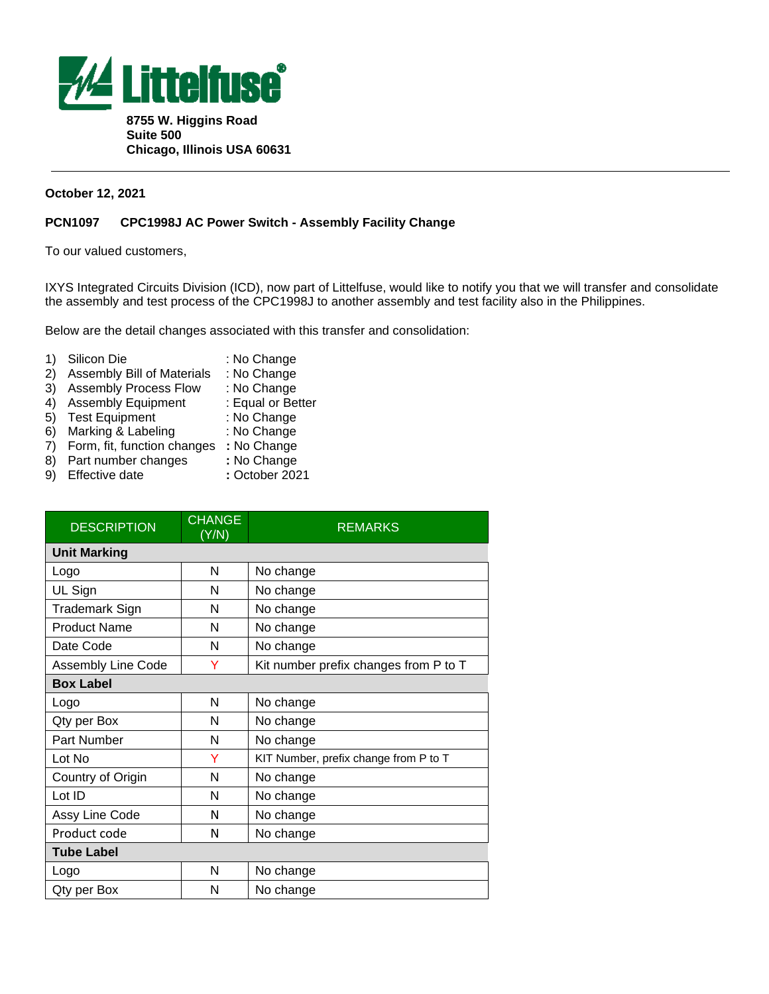

**8755 W. Higgins Road Suite 500 Chicago, Illinois USA 60631**

## **October 12, 2021**

## **PCN1097 CPC1998J AC Power Switch - Assembly Facility Change**

To our valued customers,

IXYS Integrated Circuits Division (ICD), now part of Littelfuse, would like to notify you that we will transfer and consolidate the assembly and test process of the CPC1998J to another assembly and test facility also in the Philippines.

Below are the detail changes associated with this transfer and consolidation:

- 1) Silicon Die : No Change
	-
- 2) Assembly Bill of Materials : No Change
- 3) Assembly Process Flow : No Change
- 4) Assembly Equipment : Equal or Better
- 5) Test Equipment : No Change
	-
- 6) Marking & Labeling : No Change 7) Form, fit, function changes **:** No Change
- 8) Part number changes **:** No Change
- 9) Effective date **:** October 2021
- 

| <b>DESCRIPTION</b>    | <b>CHANGE</b><br>(Y/N) | <b>REMARKS</b>                        |
|-----------------------|------------------------|---------------------------------------|
| <b>Unit Marking</b>   |                        |                                       |
| Logo                  | N                      | No change                             |
| UL Sign               | N                      | No change                             |
| <b>Trademark Sign</b> | N                      | No change                             |
| <b>Product Name</b>   | N                      | No change                             |
| Date Code             | N                      | No change                             |
| Assembly Line Code    | Y                      | Kit number prefix changes from P to T |
| <b>Box Label</b>      |                        |                                       |
| Logo                  | N                      | No change                             |
| Qty per Box           | N                      | No change                             |
| Part Number           | N                      | No change                             |
| Lot No                | Y                      | KIT Number, prefix change from P to T |
| Country of Origin     | N                      | No change                             |
| Lot ID                | N                      | No change                             |
| Assy Line Code        | N                      | No change                             |
| Product code          | N                      | No change                             |
| <b>Tube Label</b>     |                        |                                       |
| Logo                  | N                      | No change                             |
| Qty per Box           | N                      | No change                             |